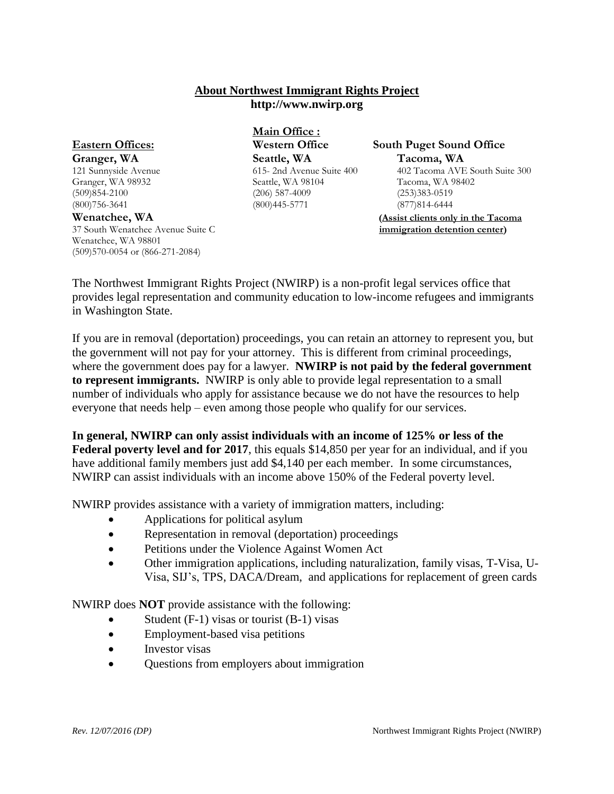## **About Northwest Immigrant Rights Project http://www.nwirp.org**

Wenatchee, WA 98801 (509)570-0054 or (866-271-2084)

**Main Office : Granger, WA Seattle, WA Tacoma, WA Tacoma, WA 121** Sunnyside Avenue **Surface Strategy** CO<sub>15</sub>-2nd Avenue Suite 400 **402** Tacoma AVE Granger, WA 98932 Seattle, WA 98104 Tacoma, WA 98402 (509)854-2100 (206)587-4009 (206)587-4009 (253)383-0519<br>(800)756-3641 (800)445-5771 (206) (877)814-6444  $(800)445 - 5771$ 

## **Eastern Offices: Western Office South Puget Sound Office**

121 Sunnyside Avenue Suite 400 402 Tacoma AVE South Suite 300<br>Seattle, WA 98104 Tacoma, WA 98402

**Wenatchee, WA (Assist clients only in the Tacoma**  37 South Wenatchee Avenue Suite C **immigration detention center)**

The Northwest Immigrant Rights Project (NWIRP) is a non-profit legal services office that provides legal representation and community education to low-income refugees and immigrants in Washington State.

If you are in removal (deportation) proceedings, you can retain an attorney to represent you, but the government will not pay for your attorney. This is different from criminal proceedings, where the government does pay for a lawyer. **NWIRP is not paid by the federal government to represent immigrants.** NWIRP is only able to provide legal representation to a small number of individuals who apply for assistance because we do not have the resources to help everyone that needs help – even among those people who qualify for our services.

**In general, NWIRP can only assist individuals with an income of 125% or less of the Federal poverty level and for 2017**, this equals \$14,850 per year for an individual, and if you have additional family members just add \$4,140 per each member. In some circumstances, NWIRP can assist individuals with an income above 150% of the Federal poverty level.

NWIRP provides assistance with a variety of immigration matters, including:

- Applications for political asylum
- Representation in removal (deportation) proceedings
- Petitions under the Violence Against Women Act
- Other immigration applications, including naturalization, family visas, T-Visa, U-Visa, SIJ's, TPS, DACA/Dream, and applications for replacement of green cards

NWIRP does **NOT** provide assistance with the following:

- Student (F-1) visas or tourist (B-1) visas
- Employment-based visa petitions
- Investor visas
- Ouestions from employers about immigration